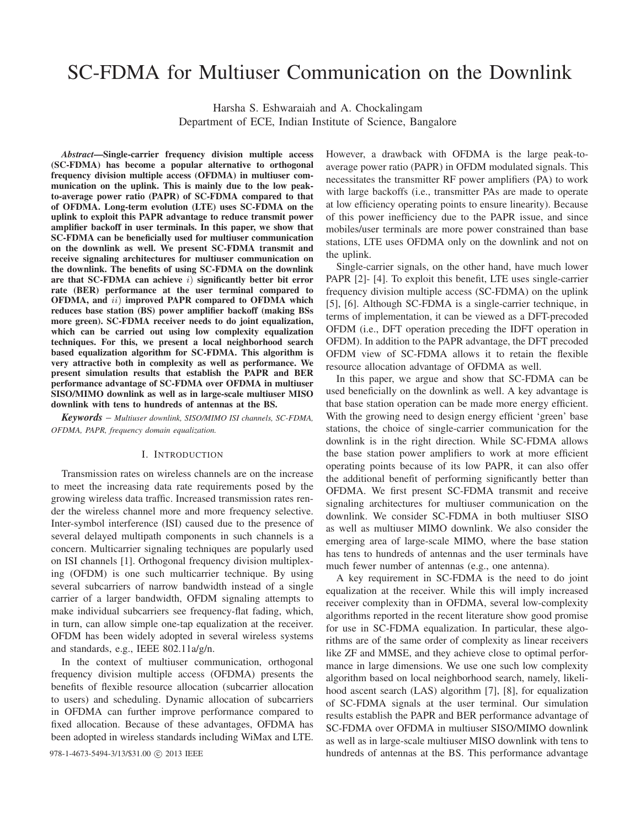# SC-FDMA for Multiuser Communication on the Downlink

Harsha S. Eshwaraiah and A. Chockalingam Department of ECE, Indian Institute of Science, Bangalore

*Abstract***—Single-carrier frequency division multiple access (SC-FDMA) has become a popular alternative to orthogonal frequency division multiple access (OFDMA) in multiuser communication on the uplink. This is mainly due to the low peakto-average power ratio (PAPR) of SC-FDMA compared to that of OFDMA. Long-term evolution (LTE) uses SC-FDMA on the uplink to exploit this PAPR advantage to reduce transmit power amplifier backoff in user terminals. In this paper, we show that SC-FDMA can be beneficially used for multiuser communication on the downlink as well. We present SC-FDMA transmit and receive signaling architectures for multiuser communication on the downlink. The benefits of using SC-FDMA on the downlink** are that SC-FDMA can achieve *i*) significantly better bit error **rate (BER) performance at the user terminal compared to OFDMA, and** *ii*) **improved PAPR compared to OFDMA which reduces base station (BS) power amplifier backoff (making BSs more green). SC-FDMA receiver needs to do joint equalization, which can be carried out using low complexity equalization techniques. For this, we present a local neighborhood search based equalization algorithm for SC-FDMA. This algorithm is very attractive both in complexity as well as performance. We present simulation results that establish the PAPR and BER performance advantage of SC-FDMA over OFDMA in multiuser SISO/MIMO downlink as well as in large-scale multiuser MISO downlink with tens to hundreds of antennas at the BS.**

*Keywords* – *Multiuser downlink, SISO/MIMO ISI channels, SC-FDMA, OFDMA, PAPR, frequency domain equalization.*

#### I. INTRODUCTION

Transmission rates on wireless channels are on the increase to meet the increasing data rate requirements posed by the growing wireless data traffic. Increased transmission rates render the wireless channel more and more frequency selective. Inter-symbol interference (ISI) caused due to the presence of several delayed multipath components in such channels is a concern. Multicarrier signaling techniques are popularly used on ISI channels [1]. Orthogonal frequency division multiplexing (OFDM) is one such multicarrier technique. By using several subcarriers of narrow bandwidth instead of a single carrier of a larger bandwidth, OFDM signaling attempts to make individual subcarriers see frequency-flat fading, which, in turn, can allow simple one-tap equalization at the receiver. OFDM has been widely adopted in several wireless systems and standards, e.g., IEEE 802.11a/g/n.

In the context of multiuser communication, orthogonal frequency division multiple access (OFDMA) presents the benefits of flexible resource allocation (subcarrier allocation to users) and scheduling. Dynamic allocation of subcarriers in OFDMA can further improve performance compared to fixed allocation. Because of these advantages, OFDMA has been adopted in wireless standards including WiMax and LTE.

However, a drawback with OFDMA is the large peak-toaverage power ratio (PAPR) in OFDM modulated signals. This necessitates the transmitter RF power amplifiers (PA) to work with large backoffs (i.e., transmitter PAs are made to operate at low efficiency operating points to ensure linearity). Because of this power inefficiency due to the PAPR issue, and since mobiles/user terminals are more power constrained than base stations, LTE uses OFDMA only on the downlink and not on the uplink.

Single-carrier signals, on the other hand, have much lower PAPR [2]- [4]. To exploit this benefit, LTE uses single-carrier frequency division multiple access (SC-FDMA) on the uplink [5], [6]. Although SC-FDMA is a single-carrier technique, in terms of implementation, it can be viewed as a DFT-precoded OFDM (i.e., DFT operation preceding the IDFT operation in OFDM). In addition to the PAPR advantage, the DFT precoded OFDM view of SC-FDMA allows it to retain the flexible resource allocation advantage of OFDMA as well.

In this paper, we argue and show that SC-FDMA can be used beneficially on the downlink as well. A key advantage is that base station operation can be made more energy efficient. With the growing need to design energy efficient 'green' base stations, the choice of single-carrier communication for the downlink is in the right direction. While SC-FDMA allows the base station power amplifiers to work at more efficient operating points because of its low PAPR, it can also offer the additional benefit of performing significantly better than OFDMA. We first present SC-FDMA transmit and receive signaling architectures for multiuser communication on the downlink. We consider SC-FDMA in both multiuser SISO as well as multiuser MIMO downlink. We also consider the emerging area of large-scale MIMO, where the base station has tens to hundreds of antennas and the user terminals have much fewer number of antennas (e.g., one antenna).

A key requirement in SC-FDMA is the need to do joint equalization at the receiver. While this will imply increased receiver complexity than in OFDMA, several low-complexity algorithms reported in the recent literature show good promise for use in SC-FDMA equalization. In particular, these algorithms are of the same order of complexity as linear receivers like ZF and MMSE, and they achieve close to optimal performance in large dimensions. We use one such low complexity algorithm based on local neighborhood search, namely, likelihood ascent search (LAS) algorithm [7], [8], for equalization of SC-FDMA signals at the user terminal. Our simulation results establish the PAPR and BER performance advantage of SC-FDMA over OFDMA in multiuser SISO/MIMO downlink as well as in large-scale multiuser MISO downlink with tens to 978-1-4673-5494-3/13/\$31.00  $\odot$  2013 IEEE hundreds of antennas at the BS. This performance advantage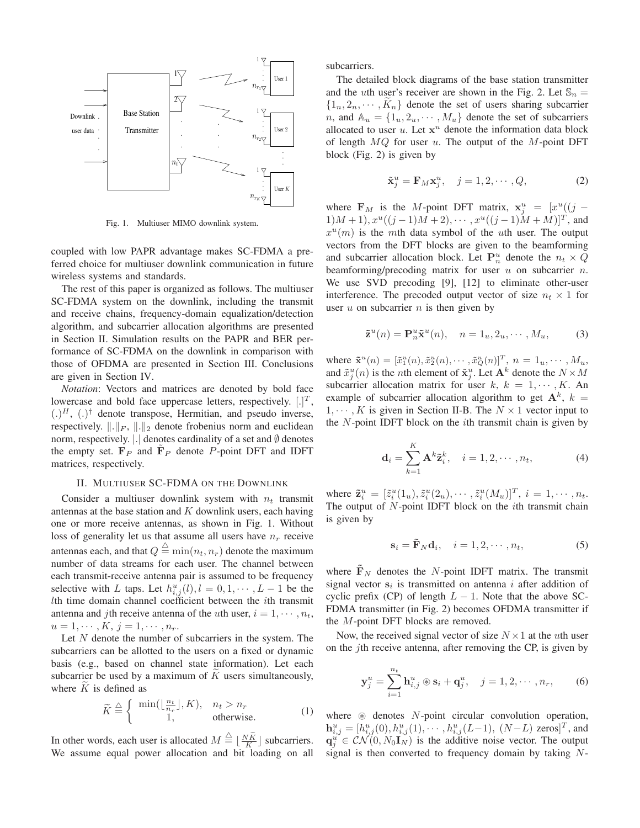

Fig. 1. Multiuser MIMO downlink system.

coupled with low PAPR advantage makes SC-FDMA a preferred choice for multiuser downlink communication in future wireless systems and standards.

The rest of this paper is organized as follows. The multiuser SC-FDMA system on the downlink, including the transmit and receive chains, frequency-domain equalization/detection algorithm, and subcarrier allocation algorithms are presented in Section II. Simulation results on the PAPR and BER performance of SC-FDMA on the downlink in comparison with those of OFDMA are presented in Section III. Conclusions are given in Section IV.

*Notation*: Vectors and matrices are denoted by bold face lowercase and bold face uppercase letters, respectively.  $[.]^T$ ,  $(.)^H$ ,  $(.)^{\dagger}$  denote transpose, Hermitian, and pseudo inverse, respectively.  $\|.\|_F$ ,  $\|.\|_2$  denote frobenius norm and euclidean norm, respectively. ∣.∣ denotes cardinality of a set and ∅ denotes the empty set.  $\mathbf{F}_P$  and  $\mathbf{F}_P$  denote P-point DFT and IDFT matrices, respectively.

## II. MULTIUSER SC-FDMA ON THE DOWNLINK

Consider a multiuser downlink system with  $n_t$  transmit antennas at the base station and  $K$  downlink users, each having one or more receive antennas, as shown in Fig. 1. Without loss of generality let us that assume all users have  $n_r$  receive antennas each, and that  $Q \triangleq \min(n_t, n_r)$  denote the maximum number of data streams for each user. The channel between each transmit-receive antenna pair is assumed to be frequency selective with L taps. Let  $h_{i,j}^u(l)$ ,  $l = 0, 1, \dots, L-1$  be the Ith time domain channel coefficient between the  $i$ th transmit antenna and jth receive antenna of the uth user,  $i = 1, \dots, n_t$ ,  $u = 1, \cdots, K, j = 1, \cdots, n_r.$ 

Let  $N$  denote the number of subcarriers in the system. The subcarriers can be allotted to the users on a fixed or dynamic basis (e.g., based on channel state information). Let each subcarrier be used by a maximum of  $K$  users simultaneously, where  $K$  is defined as

$$
\widetilde{K} \stackrel{\triangle}{=} \begin{cases}\n\min(\lfloor \frac{n_t}{n_r} \rfloor, K), & n_t > n_r \\
1, & \text{otherwise.} \n\end{cases}
$$
\nIn other words, each user is allocated 

\n
$$
M \stackrel{\triangle}{=} \lfloor \frac{N\widetilde{K}}{K} \rfloor
$$
\nsubcarriers.

We assume equal power allocation and bit loading on all

subcarriers.

The detailed block diagrams of the base station transmitter and the uth user's receiver are shown in the Fig. 2. Let  $\mathbb{S}_n =$  $\{1_n, 2_n, \dots, K_n\}$  denote the set of users sharing subcarrier n, and  $\mathbb{A}_u = \{1_u, 2_u, \cdots, M_u\}$  denote the set of subcarriers allocated to user  $u$ . Let  $x^u$  denote the information data block of length  $MQ$  for user  $u$ . The output of the  $M$ -point DFT block (Fig. 2) is given by

$$
\tilde{\mathbf{x}}_j^u = \mathbf{F}_M \mathbf{x}_j^u, \quad j = 1, 2, \cdots, Q,
$$
 (2)

where  $\mathbf{F}_M$  is the M-point DFT matrix,  $\mathbf{x}_j^u = [x^u] (j (1)M + 1, x^u((j-1)M + 2), \cdots, x^u((j-1)M + M)]^T$ , and  $x^u(m)$  is the mth data symbol of the uth user. The output vectors from the DFT blocks are given to the beamforming and subcarrier allocation block. Let  $P_n^u$  denote the  $n_t \times Q$ beamforming/precoding matrix for user  $u$  on subcarrier  $n$ . We use SVD precoding [9], [12] to eliminate other-user interference. The precoded output vector of size  $n_t \times 1$  for user  $u$  on subcarrier  $n$  is then given by

$$
\tilde{\mathbf{z}}^u(n) = \mathbf{P}_n^u \tilde{\mathbf{x}}^u(n), \quad n = 1_u, 2_u, \cdots, M_u,
$$
 (3)

where  $\tilde{\mathbf{x}}^u(n) = [\tilde{x}_1^u(n), \tilde{x}_2^u(n), \cdots, \tilde{x}_Q^u(n)]^T$ ,  $n = 1_u, \cdots, M_u$ , and  $\tilde{x}_j^u(n)$  is the *n*th element of  $\tilde{\mathbf{x}}_j^u$ . Let  $\mathbf{A}^k$  denote the  $N \times M$ subcarrier allocation matrix for user  $k, k = 1, \dots, K$ . An example of subcarrier allocation algorithm to get  $A^k$ ,  $k =$  $1, \dots, K$  is given in Section II-B. The  $N \times 1$  vector input to the  $N$ -point IDFT block on the *i*th transmit chain is given by

$$
\mathbf{d}_{i} = \sum_{k=1}^{K} \mathbf{A}^{k} \tilde{\mathbf{z}}_{i}^{k}, \quad i = 1, 2, \cdots, n_{t}, \tag{4}
$$

where  $\tilde{\mathbf{z}}_i^u = [\tilde{z}_i^u(1_u), \tilde{z}_i^u(2_u), \cdots, \tilde{z}_i^u(M_u)]^T$ ,  $i = 1, \cdots, n_t$ . The output of  $N$ -point IDFT block on the *i*th transmit chain is given by

$$
\mathbf{s}_i = \tilde{\mathbf{F}}_N \mathbf{d}_i, \quad i = 1, 2, \cdots, n_t,
$$
 (5)

where  $\mathbf{F}_N$  denotes the N-point IDFT matrix. The transmit signal vector  $s_i$  is transmitted on antenna i after addition of cyclic prefix (CP) of length  $L - 1$ . Note that the above SC-FDMA transmitter (in Fig. 2) becomes OFDMA transmitter if the  $M$ -point DFT blocks are removed.

Now, the received signal vector of size  $N \times 1$  at the uth user on the  $j$ th receive antenna, after removing the CP, is given by

$$
\mathbf{y}_j^u = \sum_{i=1}^{n_t} \mathbf{h}_{i,j}^u \circledast \mathbf{s}_i + \mathbf{q}_j^u, \quad j = 1, 2, \cdots, n_r,
$$
 (6)

where  $\circledast$  denotes  $N$ -point circular convolution operation,  $\mathbf{h}_{i,j}^u = [h_{i,j}^u(0), h_{i,j}^u(1), \cdots, h_{i,j}^u(L-1), (N-L) \text{ zeros}]^T$ , and  $\mathbf{q}_j^u \in \mathcal{CN}(0, N_0 \mathbf{I}_N)$  is the additive noise vector. The output signal is then converted to frequency domain by taking  $N$ -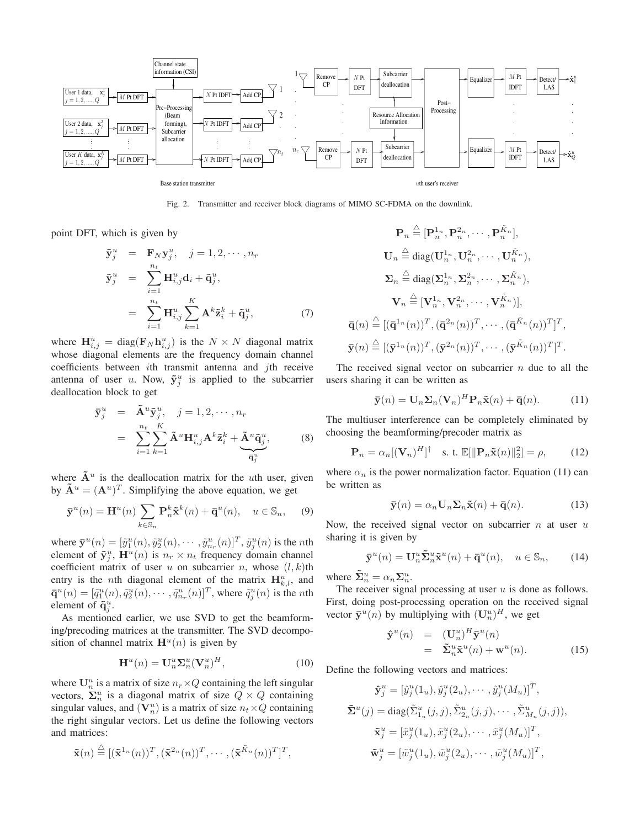

Fig. 2. Transmitter and receiver block diagrams of MIMO SC-FDMA on the downlink.

**¯q**() △

 $\bar{y}$ 

point DFT, which is given by

$$
\tilde{\mathbf{y}}_j^u = \mathbf{F}_N \mathbf{y}_j^u, \quad j = 1, 2, \cdots, n_r
$$
  

$$
\tilde{\mathbf{y}}_j^u = \sum_{i=1}^{n_t} \mathbf{H}_{i,j}^u \mathbf{d}_i + \tilde{\mathbf{q}}_j^u,
$$
  

$$
= \sum_{i=1}^{n_t} \mathbf{H}_{i,j}^u \sum_{k=1}^K \mathbf{A}^k \tilde{\mathbf{z}}_i^k + \tilde{\mathbf{q}}_j^u,
$$
 (7)

where  $\mathbf{H}_{i,j}^u = \text{diag}(\mathbf{F}_N \mathbf{h}_{i,j}^u)$  is the  $N \times N$  diagonal matrix whose diagonal elements are the frequency domain channel coefficients between  $i$ th transmit antenna and  $j$ th receive antenna of user  $u$ . Now,  $\tilde{\mathbf{y}}_j^u$  is applied to the subcarrier deallocation block to get

$$
\bar{\mathbf{y}}_j^u = \tilde{\mathbf{A}}^u \tilde{\mathbf{y}}_j^u, \quad j = 1, 2, \cdots, n_r
$$
\n
$$
= \sum_{i=1}^{n_t} \sum_{k=1}^K \tilde{\mathbf{A}}^u \mathbf{H}_{i,j}^u \mathbf{A}^k \tilde{\mathbf{z}}_i^k + \tilde{\mathbf{A}}^u \tilde{\mathbf{q}}_j^u,
$$
\n(8)

where  $\tilde{A}^u$  is the deallocation matrix for the uth user, given by  $\tilde{\mathbf{A}}^u = (\mathbf{A}^u)^T$ . Simplifying the above equation, we get

$$
\bar{\mathbf{y}}^u(n) = \mathbf{H}^u(n) \sum_{k \in \mathbb{S}_n} \mathbf{P}_n^k \tilde{\mathbf{x}}^k(n) + \bar{\mathbf{q}}^u(n), \quad u \in \mathbb{S}_n,
$$
 (9)

where  $\bar{\mathbf{y}}^u(n) = [\tilde{y}_1^u(n), \tilde{y}_2^u(n), \cdots, \tilde{y}_{n_r}^u(n)]^T$ ,  $\tilde{y}_j^u(n)$  is the *n*th element of  $\tilde{\mathbf{y}}_j^u$ ,  $\mathbf{H}^u(n)$  is  $n_r \times n_t$  frequency domain channel coefficient matrix of user  $u$  on subcarrier  $n$ , whose  $(l, k)$ th entry is the *n*th diagonal element of the matrix  $\mathbf{H}_{k,l}^u$ , and  $\bar{\mathbf{q}}^u(n) = [\tilde{q}_1^u(n), \tilde{q}_2^u(n), \cdots, \tilde{q}_{n_r}^u(n)]^T$ , where  $\tilde{q}_j^u(n)$  is the *n*th element of  $\tilde{\mathbf{q}}_j^u$ .

As mentioned earlier, we use SVD to get the beamforming/precoding matrices at the transmitter. The SVD decomposition of channel matrix  $\mathbf{H}^u(n)$  is given by

$$
\mathbf{H}^{u}(n) = \mathbf{U}_{n}^{u} \mathbf{\Sigma}_{n}^{u} (\mathbf{V}_{n}^{u})^{H}, \qquad (10)
$$

where  $\mathbf{U}_n^u$  is a matrix of size  $n_r \times Q$  containing the left singular vectors,  $\Sigma_n^u$  is a diagonal matrix of size  $Q \times Q$  containing singular values, and  $(\mathbf{V}_n^u)$  is a matrix of size  $n_t \times Q$  containing the right singular vectors. Let us define the following vectors and matrices:

$$
\tilde{\mathbf{x}}(n) \stackrel{\Delta}{=} [(\tilde{\mathbf{x}}^{1_n}(n))^T, (\tilde{\mathbf{x}}^{2_n}(n))^T, \cdots, (\tilde{\mathbf{x}}^{\tilde{K}_n}(n))^T]^T,
$$

$$
\mathbf{P}_n \stackrel{\triangle}{=} [\mathbf{P}_n^{1_n}, \mathbf{P}_n^{2_n}, \cdots, \mathbf{P}_n^{\tilde{K}_n}],
$$
  
\n
$$
\mathbf{U}_n \stackrel{\triangle}{=} \text{diag}(\mathbf{U}_n^{1_n}, \mathbf{U}_n^{2_n}, \cdots, \mathbf{U}_n^{\tilde{K}_n}),
$$
  
\n
$$
\Sigma_n \stackrel{\triangle}{=} \text{diag}(\mathbf{\Sigma}_n^{1_n}, \mathbf{\Sigma}_n^{2_n}, \cdots, \mathbf{\Sigma}_n^{\tilde{K}_n}),
$$
  
\n
$$
\mathbf{V}_n \stackrel{\triangle}{=} [\mathbf{V}_n^{1_n}, \mathbf{V}_n^{2_n}, \cdots, \mathbf{V}_n^{\tilde{K}_n})],
$$
  
\n
$$
(n) \stackrel{\triangle}{=} [(\mathbf{\bar{q}}^{1_n}(n))^T, (\mathbf{\bar{q}}^{2_n}(n))^T, \cdots, (\mathbf{\bar{q}}^{\tilde{K}_n}(n))^T]^T,
$$
  
\n
$$
(n) \stackrel{\triangle}{=} [(\mathbf{\bar{y}}^{1_n}(n))^T, (\mathbf{\bar{y}}^{2_n}(n))^T, \cdots, (\mathbf{\bar{y}}^{\tilde{K}_n}(n))^T]^T.
$$

The received signal vector on subcarrier  $n$  due to all the users sharing it can be written as

$$
\bar{\mathbf{y}}(n) = \mathbf{U}_n \Sigma_n (\mathbf{V}_n)^H \mathbf{P}_n \tilde{\mathbf{x}}(n) + \bar{\mathbf{q}}(n).
$$
 (11)

The multiuser interference can be completely eliminated by choosing the beamforming/precoder matrix as

$$
\mathbf{P}_n = \alpha_n [(\mathbf{V}_n)^H]^\dagger \quad \text{s. t. } \mathbb{E}[\|\mathbf{P}_n \tilde{\mathbf{x}}(n)\|_2^2] = \rho,\tag{12}
$$

where  $\alpha_n$  is the power normalization factor. Equation (11) can be written as

$$
\bar{\mathbf{y}}(n) = \alpha_n \mathbf{U}_n \Sigma_n \tilde{\mathbf{x}}(n) + \bar{\mathbf{q}}(n). \tag{13}
$$

Now, the received signal vector on subcarrier  $n$  at user  $u$ sharing it is given by

$$
\bar{\mathbf{y}}^u(n) = \mathbf{U}_n^u \tilde{\Sigma}_n^u \tilde{\mathbf{x}}^u(n) + \bar{\mathbf{q}}^u(n), \quad u \in \mathbb{S}_n,
$$
 (14)

where  $\tilde{\Sigma}_n^u = \alpha_n \Sigma_n^u$ .

The receiver signal processing at user  $u$  is done as follows. First, doing post-processing operation on the received signal vector  $\bar{\mathbf{y}}^u(n)$  by multiplying with  $(\mathbf{U}_n^u)^H$ , we get

$$
\hat{\mathbf{y}}^{u}(n) = (\mathbf{U}_{n}^{u})^{H} \overline{\mathbf{y}}^{u}(n)
$$
  
=  $\tilde{\Sigma}_{n}^{u} \tilde{\mathbf{x}}^{u}(n) + \mathbf{w}^{u}(n).$  (15)

Define the following vectors and matrices:

$$
\hat{\mathbf{y}}_j^u = [\hat{y}_j^u(1_u), \hat{y}_j^u(2_u), \cdots, \hat{y}_j^u(M_u)]^T,
$$
  
\n
$$
\tilde{\mathbf{\Sigma}}^u(j) = \text{diag}(\tilde{\Sigma}_{1_u}^u(j,j), \tilde{\Sigma}_{2_u}^u(j,j), \cdots, \tilde{\Sigma}_{M_u}^u(j,j)),
$$
  
\n
$$
\tilde{\mathbf{x}}_j^u = [\tilde{x}_j^u(1_u), \tilde{x}_j^u(2_u), \cdots, \tilde{x}_j^u(M_u)]^T,
$$
  
\n
$$
\tilde{\mathbf{w}}_j^u = [\tilde{w}_j^u(1_u), \tilde{w}_j^u(2_u), \cdots, \tilde{w}_j^u(M_u)]^T,
$$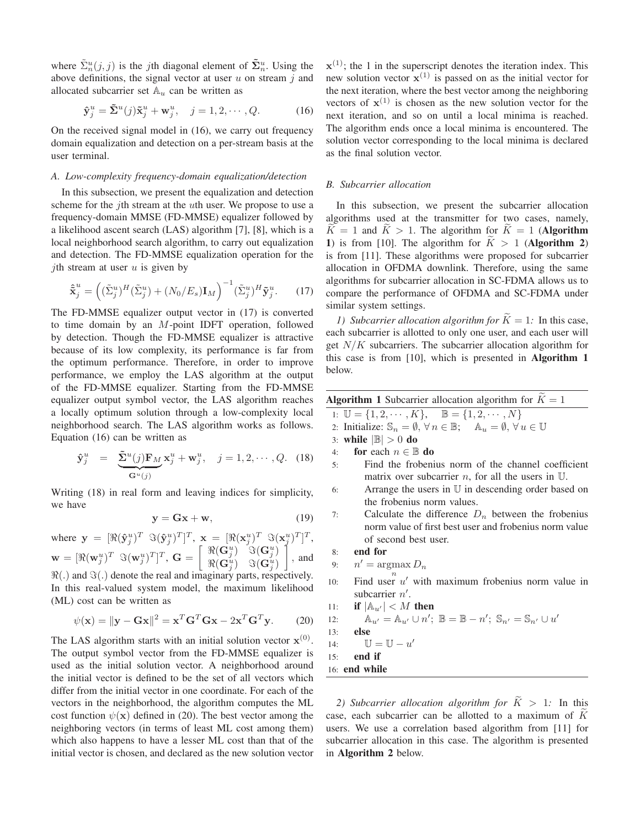where  $\tilde{\Sigma}_n^u(j, j)$  is the *j*th diagonal element of  $\tilde{\Sigma}_n^u$ . Using the above definitions, the signal vector at user  $u$  on stream  $j$  and allocated subcarrier set  $\mathbb{A}_u$  can be written as

$$
\hat{\mathbf{y}}_j^u = \tilde{\mathbf{\Sigma}}^u(j)\tilde{\mathbf{x}}_j^u + \mathbf{w}_j^u, \quad j = 1, 2, \cdots, Q. \tag{16}
$$

On the received signal model in (16), we carry out frequency domain equalization and detection on a per-stream basis at the user terminal.

## *A. Low-complexity frequency-domain equalization/detection*

In this subsection, we present the equalization and detection scheme for the  $j$ th stream at the  $u$ th user. We propose to use a frequency-domain MMSE (FD-MMSE) equalizer followed by a likelihood ascent search (LAS) algorithm [7], [8], which is a local neighborhood search algorithm, to carry out equalization and detection. The FD-MMSE equalization operation for the *i*th stream at user  $u$  is given by

$$
\hat{\tilde{\mathbf{x}}}^u_j = \left( (\tilde{\Sigma}^u_j)^H (\tilde{\Sigma}^u_j) + (N_0/E_s) \mathbf{I}_M \right)^{-1} (\tilde{\Sigma}^u_j)^H \tilde{\mathbf{y}}^u_j. \tag{17}
$$

The FD-MMSE equalizer output vector in (17) is converted to time domain by an  $M$ -point IDFT operation, followed by detection. Though the FD-MMSE equalizer is attractive because of its low complexity, its performance is far from the optimum performance. Therefore, in order to improve performance, we employ the LAS algorithm at the output of the FD-MMSE equalizer. Starting from the FD-MMSE equalizer output symbol vector, the LAS algorithm reache a locally optimum solution through a low-complexity local neighborhood search. The LAS algorithm works as follow. Equation (16) can be written as

$$
\hat{\mathbf{y}}_j^u = \underbrace{\tilde{\mathbf{\Sigma}}^u(j)\mathbf{F}_M}_{\mathbf{G}^u(j)} \mathbf{x}_j^u + \mathbf{w}_j^u, \quad j = 1, 2, \cdots, Q. \quad (18)
$$

Writing (18) in real form and leaving indices for simplicity, we have

$$
y = Gx + w,\t\t(19)
$$

where  $\mathbf{y} = [\Re(\hat{\mathbf{y}}_j^u)^T \ \Im(\hat{\mathbf{y}}_j^u)^T]^T$ ,  $\mathbf{x} = [\Re(\mathbf{x}_j^u)^T \ \Im(\mathbf{x}_j^u)^T]^T$ ,  $\mathbf{w} = [\Re(\mathbf{w}_j^u)^T \ \Im(\mathbf{w}_j^u)^T]^T, \ \mathbf{G} = \begin{bmatrix} \ \Re(\mathbf{G}_j^u) \ \ \Re(\mathbf{G}_j^u) \ \ \ \Im(\mathbf{G}_j^u) \end{bmatrix}$  $\Re(\mathbf{G}_j^u) \quad \Im(\mathbf{G}_j^u)$ ] , and  $\Re(.)$  and  $\Im(.)$  denote the real and imaginary parts, respectively.

In this real-valued system model, the maximum likelihoo (ML) cost can be written as

$$
\psi(\mathbf{x}) = ||\mathbf{y} - \mathbf{G}\mathbf{x}||^2 = \mathbf{x}^T \mathbf{G}^T \mathbf{G} \mathbf{x} - 2\mathbf{x}^T \mathbf{G}^T \mathbf{y}.
$$
 (20)

The LAS algorithm starts with an initial solution vector  $\mathbf{x}^{(0)}$ . The output symbol vector from the FD-MMSE equalizer is used as the initial solution vector. A neighborhood around the initial vector is defined to be the set of all vectors which differ from the initial vector in one coordinate. For each of the vectors in the neighborhood, the algorithm computes the ML cost function  $\psi(\mathbf{x})$  defined in (20). The best vector among the neighboring vectors (in terms of least ML cost among them) which also happens to have a lesser ML cost than that of the initial vector is chosen, and declared as the new solution vector  $\mathbf{x}^{(1)}$ ; the 1 in the superscript denotes the iteration index. This new solution vector  $\mathbf{x}^{(1)}$  is passed on as the initial vector for the next iteration, where the best vector among the neighboring vectors of  $\mathbf{x}^{(1)}$  is chosen as the new solution vector for the next iteration, and so on until a local minima is reached. The algorithm ends once a local minima is encountered. The solution vector corresponding to the local minima is declared as the final solution vector.

## *B. Subcarrier allocation*

In this subsection, we present the subcarrier allocation algorithms used at the transmitter for two cases, namely,  $\widetilde{K} = 1$  and  $\widetilde{K} > 1$ . The algorithm for  $\widetilde{K} = 1$  (Algorithm **1**) is from [10]. The algorithm for  $K > 1$  (**Algorithm 2**) is from [11]. These algorithms were proposed for subcarrier allocation in OFDMA downlink. Therefore, using the same algorithms for subcarrier allocation in SC-FDMA allows us to compare the performance of OFDMA and SC-FDMA under similar system settings.

*1) Subcarrier allocation algorithm for*  $\widetilde{K} = 1$ : In this case, each subcarrier is allotted to only one user, and each user will get  $N/K$  subcarriers. The subcarrier allocation algorithm for this case is from [10], which is presented in **Algorithm 1** below.

|     | <b>Algorithm 1</b> Subcarrier allocation algorithm for $K = 1$                                                                   |
|-----|----------------------------------------------------------------------------------------------------------------------------------|
|     | 1: $\mathbb{U} = \{1, 2, \cdots, K\}, \quad \mathbb{B} = \{1, 2, \cdots, N\}$                                                    |
|     | 2: Initialize: $\mathbb{S}_n = \emptyset$ , $\forall n \in \mathbb{B}$ ; $\mathbb{A}_u = \emptyset$ , $\forall u \in \mathbb{U}$ |
|     | 3: while $ \mathbb{B}  > 0$ do                                                                                                   |
| 4:  | for each $n \in \mathbb{B}$ do                                                                                                   |
| 5:  | Find the frobenius norm of the channel coefficient                                                                               |
|     | matrix over subcarrier $n$ , for all the users in $\mathbb{U}$ .                                                                 |
| 6:  | Arrange the users in $U$ in descending order based on                                                                            |
|     | the frobenius norm values.                                                                                                       |
| 7:  | Calculate the difference $D_n$ between the frobenius                                                                             |
|     | norm value of first best user and frobenius norm value                                                                           |
|     | of second best user.                                                                                                             |
| 8:  | end for                                                                                                                          |
| 9:  | $n' = \argmax D_n$                                                                                                               |
| 10: | Find user $u'$ with maximum frobenius norm value in                                                                              |
|     | subcarrier $n'$ .                                                                                                                |
| 11: | if $ \mathbb{A}_{u'}  < M$ then                                                                                                  |
| 12: | $\mathbb{A}_{u'} = \mathbb{A}_{u'} \cup n'; \ \mathbb{B} = \mathbb{B} - n'; \ \mathbb{S}_{n'} = \mathbb{S}_{n'} \cup u'$         |
| 13: | else                                                                                                                             |
| 14: | $\mathbb{U}=\mathbb{U}-u'$                                                                                                       |
| 15: | end if                                                                                                                           |
|     | 16: <b>end while</b>                                                                                                             |

2) Subcarrier allocation algorithm for  $\widetilde{K} > 1$ : In this case, each subcarrier can be allotted to a maximum of  $K$ users. We use a correlation based algorithm from [11] for subcarrier allocation in this case. The algorithm is presented in **Algorithm 2** below.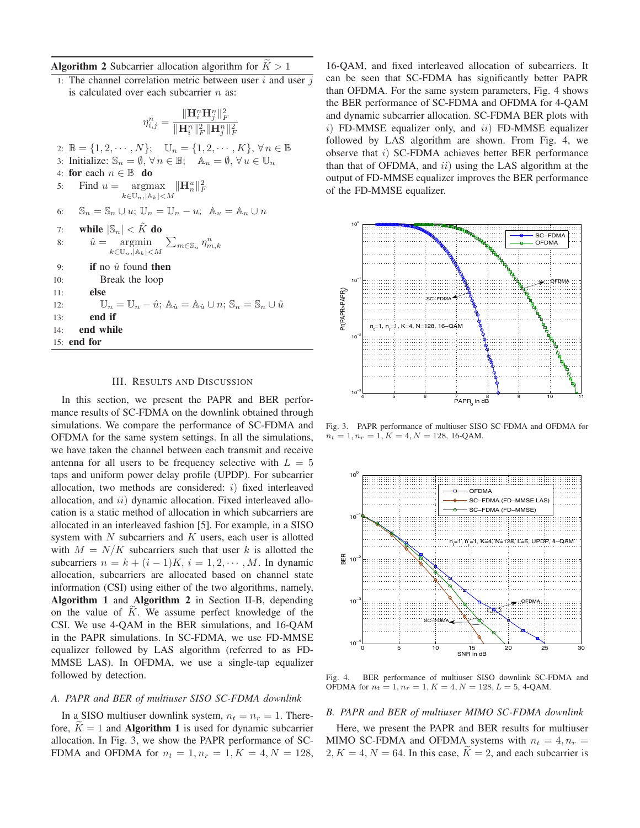## **Algorithm 2** Subcarrier allocation algorithm for  $K > 1$

1: The channel correlation metric between user  $i$  and user  $j$ is calculated over each subcarrier  $n$  as:

|     | $\eta_{i,j}^n = \frac{\ \mathbf{H}_i^n \mathbf{H}_j^n\ _F^2}{\ \mathbf{H}_i^n\ _F^2 \ \mathbf{H}_i^n\ _F^2}$                                |
|-----|---------------------------------------------------------------------------------------------------------------------------------------------|
|     | 2: $\mathbb{B} = \{1, 2, \cdots, N\}; \quad \mathbb{U}_n = \{1, 2, \cdots, K\}, \forall n \in \mathbb{B}$                                   |
|     | 3: Initialize: $\mathbb{S}_n = \emptyset$ , $\forall n \in \mathbb{B}$ ; $\mathbb{A}_n = \emptyset$ , $\forall u \in \mathbb{U}_n$          |
|     | 4: for each $n \in \mathbb{B}$ do                                                                                                           |
| 5:  | Find $u = \argmax$ $  \mathbf{H}_{n}^{u}  _{F}^{2}$<br>$k\in\mathbb{U}_n,  \mathbb{A}_k $                                                   |
|     | 6: $\mathbb{S}_n = \mathbb{S}_n \cup u$ : $\mathbb{U}_n = \mathbb{U}_n - u$ ; $\mathbb{A}_u = \mathbb{A}_u \cup n$                          |
|     | 7: while $ \mathbb{S}_n  < \tilde{K}$ do                                                                                                    |
| 8:  | $\hat{u} = \argmin \quad \sum_{m \in \mathbb{S}_n} \eta_{m,k}^n$<br>$k \in \mathbb{U}_n$ , $ \mathbb{A}_k  < M$                             |
| 9:  | if no $\hat{u}$ found then                                                                                                                  |
| 10: | Break the loop                                                                                                                              |
| 11: | else                                                                                                                                        |
| 12: | $\mathbb{U}_n = \mathbb{U}_n - \hat{u}$ ; $\mathbb{A}_{\hat{u}} = \mathbb{A}_{\hat{u}} \cup n$ ; $\mathbb{S}_n = \mathbb{S}_n \cup \hat{u}$ |
| 13: | end if                                                                                                                                      |
|     | 14: <b>end while</b>                                                                                                                        |
|     | $15:$ end for                                                                                                                               |

#### III. RESULTS AND DISCUSSION

In this section, we present the PAPR and BER performance results of SC-FDMA on the downlink obtained through simulations. We compare the performance of SC-FDMA and OFDMA for the same system settings. In all the simulations, we have taken the channel between each transmit and receive antenna for all users to be frequency selective with  $L = 5$ taps and uniform power delay profile (UPDP). For subcarrier allocation, two methods are considered:  $i$ ) fixed interleaved allocation, and  $ii)$  dynamic allocation. Fixed interleaved allocation is a static method of allocation in which subcarriers are allocated in an interleaved fashion [5]. For example, in a SISO system with  $N$  subcarriers and  $K$  users, each user is allotted with  $M = N/K$  subcarriers such that user k is allotted the subcarriers  $n = k + (i - 1)K$ ,  $i = 1, 2, \dots, M$ . In dynamic allocation, subcarriers are allocated based on channel state information (CSI) using either of the two algorithms, namely, **Algorithm 1** and **Algorithm 2** in Section II-B, depending on the value of  $K$ . We assume perfect knowledge of the CSI. We use 4-QAM in the BER simulations, and 16-QAM in the PAPR simulations. In SC-FDMA, we use FD-MMSE equalizer followed by LAS algorithm (referred to as FD-MMSE LAS). In OFDMA, we use a single-tap equalizer followed by detection.

## *A. PAPR and BER of multiuser SISO SC-FDMA downlink*

In a SISO multiuser downlink system,  $n_t = n_r = 1$ . Therefore,  $K = 1$  and **Algorithm 1** is used for dynamic subcarrier allocation. In Fig. 3, we show the PAPR performance of SC-FDMA and OFDMA for  $n_t = 1, n_r = 1, K = 4, N = 128$ ,

16-QAM, and fixed interleaved allocation of subcarriers. It can be seen that SC-FDMA has significantly better PAPR than OFDMA. For the same system parameters, Fig. 4 shows the BER performance of SC-FDMA and OFDMA for 4-QAM and dynamic subcarrier allocation. SC-FDMA BER plots with  $(i)$  FD-MMSE equalizer only, and  $ii)$  FD-MMSE equalizer followed by LAS algorithm are shown. From Fig. 4, we observe that  $i$ ) SC-FDMA achieves better BER performance than that of OFDMA, and  $ii)$  using the LAS algorithm at the output of FD-MMSE equalizer improves the BER performance of the FD-MMSE equalizer.



Fig. 3. PAPR performance of multiuser SISO SC-FDMA and OFDMA for  $n_t = 1, n_r = 1, K = 4, N = 128, 16$ -QAM.



Fig. 4. BER performance of multiuser SISO downlink SC-FDMA and OFDMA for  $n_t = 1$ ,  $n_r = 1$ ,  $K = 4$ ,  $N = 128$ ,  $L = 5$ , 4-QAM.

## *B. PAPR and BER of multiuser MIMO SC-FDMA downlink*

Here, we present the PAPR and BER results for multiuser MIMO SC-FDMA and OFDMA systems with  $n_t = 4$ ,  $n_r =$  $2, K = 4, N = 64$ . In this case,  $K = 2$ , and each subcarrier is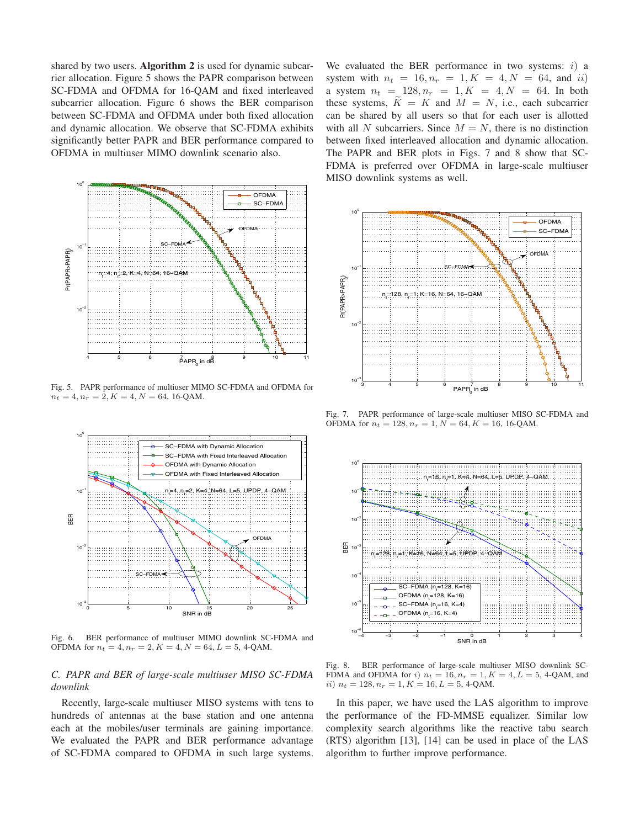shared by two users. **Algorithm 2** is used for dynamic subcarrier allocation. Figure 5 shows the PAPR comparison between SC-FDMA and OFDMA for 16-QAM and fixed interleaved subcarrier allocation. Figure 6 shows the BER comparison between SC-FDMA and OFDMA under both fixed allocation and dynamic allocation. We observe that SC-FDMA exhibits significantly better PAPR and BER performance compared to OFDMA in multiuser MIMO downlink scenario also.



Fig. 5. PAPR performance of multiuser MIMO SC-FDMA and OFDMA for  $n_t = 4, n_r = 2, K = 4, N = 64, 16$ -QAM.



Fig. 6. BER performance of multiuser MIMO downlink SC-FDMA and OFDMA for  $n_t = 4$ ,  $n_r = 2$ ,  $K = 4$ ,  $N = 64$ ,  $L = 5$ , 4-QAM.

## *C. PAPR and BER of large-scale multiuser MISO SC-FDMA downlink*

Recently, large-scale multiuser MISO systems with tens to hundreds of antennas at the base station and one antenna each at the mobiles/user terminals are gaining importance. We evaluated the PAPR and BER performance advantage of SC-FDMA compared to OFDMA in such large systems.

We evaluated the BER performance in two systems:  $i$ ) a system with  $n_t = 16, n_r = 1, K = 4, N = 64$ , and ii) a system  $n_t = 128$ ,  $n_r = 1$ ,  $K = 4$ ,  $N = 64$ . In both these systems,  $\tilde{K} = K$  and  $M = N$ , i.e., each subcarrier can be shared by all users so that for each user is allotted with all N subcarriers. Since  $M = N$ , there is no distinction between fixed interleaved allocation and dynamic allocation. The PAPR and BER plots in Figs. 7 and 8 show that SC-FDMA is preferred over OFDMA in large-scale multiuser MISO downlink systems as well.



Fig. 7. PAPR performance of large-scale multiuser MISO SC-FDMA and OFDMA for  $n_t = 128$ ,  $n_r = 1$ ,  $N = 64$ ,  $K = 16$ , 16-QAM.



Fig. 8. BER performance of large-scale multiuser MISO downlink SC-FDMA and OFDMA for i)  $n_t = 16$ ,  $n_r = 1$ ,  $K = 4$ ,  $L = 5$ , 4-QAM, and ii)  $n_t = 128, n_r = 1, K = 16, L = 5, 4$ -QAM.

In this paper, we have used the LAS algorithm to improve the performance of the FD-MMSE equalizer. Similar low complexity search algorithms like the reactive tabu search (RTS) algorithm [13], [14] can be used in place of the LAS algorithm to further improve performance.